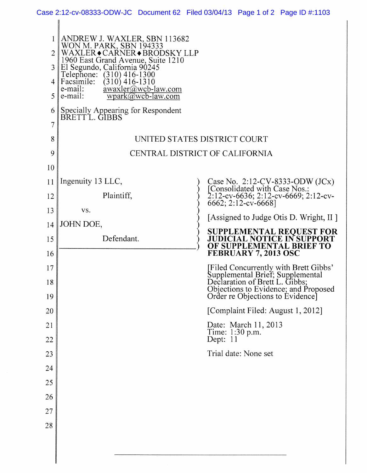| 1<br>2<br>3<br>5<br>6<br>7 | ANDREW J. WAXLER, SBN 113682<br>WON M. PARK, SBN 194333<br>WAXLER◆CARNER◆BRODSKY LLP<br>1960 East Grand Avenue, Suite 1210<br>El Segundo, California 90245<br>Telephone: (310) 416-1300<br>Facsimile:<br>$(310)$ 416-1310<br>$\frac{\text{awaxler}(a) \text{wcb-law.com}}{a \text{waxlam}}$<br>e-mail:<br>e-mail:<br>$wpark(\widetilde{a}/wcb$ -law.com<br>Specially Appearing for Respondent<br>BRETT L. GIBBS |                                                                                                                                                                                         |
|----------------------------|-----------------------------------------------------------------------------------------------------------------------------------------------------------------------------------------------------------------------------------------------------------------------------------------------------------------------------------------------------------------------------------------------------------------|-----------------------------------------------------------------------------------------------------------------------------------------------------------------------------------------|
| 8                          |                                                                                                                                                                                                                                                                                                                                                                                                                 | UNITED STATES DISTRICT COURT                                                                                                                                                            |
| 9                          | CENTRAL DISTRICT OF CALIFORNIA                                                                                                                                                                                                                                                                                                                                                                                  |                                                                                                                                                                                         |
| 10                         |                                                                                                                                                                                                                                                                                                                                                                                                                 |                                                                                                                                                                                         |
| 11                         | Ingenuity 13 LLC,                                                                                                                                                                                                                                                                                                                                                                                               | Case No. 2:12-CV-8333-ODW (JCx)<br>[Consolidated with Case Nos.:<br>2:12-cv-6636; 2:12-cv-6669; 2:12-cv-<br>6662; 2:12-cv-6668]                                                         |
| 12                         | Plaintiff,                                                                                                                                                                                                                                                                                                                                                                                                      |                                                                                                                                                                                         |
| 13                         | VS.                                                                                                                                                                                                                                                                                                                                                                                                             | [Assigned to Judge Otis D. Wright, II]                                                                                                                                                  |
| 14                         | JOHN DOE,                                                                                                                                                                                                                                                                                                                                                                                                       | <b>SUPPLEMENTAL REQUEST FOR</b>                                                                                                                                                         |
| 15<br>16                   | Defendant.                                                                                                                                                                                                                                                                                                                                                                                                      | <b>JUDICIAL NOTICE IN SUPPORT</b><br>OF SUPPLEMENTAL BRIEF TO<br>FEBRUARY 7, 2013 OSC                                                                                                   |
| 17                         |                                                                                                                                                                                                                                                                                                                                                                                                                 |                                                                                                                                                                                         |
| 18                         |                                                                                                                                                                                                                                                                                                                                                                                                                 | [Filed Concurrently with Brett Gibbs'<br>Supplemental Brief; Supplemental<br>Declaration of Brett L. Gibbs;<br>Objections to Evidence; and Proposed<br>Order re Objections to Evidence] |
| 19                         |                                                                                                                                                                                                                                                                                                                                                                                                                 |                                                                                                                                                                                         |
| 20                         |                                                                                                                                                                                                                                                                                                                                                                                                                 | [Complaint Filed: August 1, 2012]                                                                                                                                                       |
| 21<br>22                   |                                                                                                                                                                                                                                                                                                                                                                                                                 | Date: March 11, 2013<br>Time: 1:30 p.m.<br>Dept: 11                                                                                                                                     |
| 23                         |                                                                                                                                                                                                                                                                                                                                                                                                                 | Trial date: None set                                                                                                                                                                    |
| 24                         |                                                                                                                                                                                                                                                                                                                                                                                                                 |                                                                                                                                                                                         |
| 25                         |                                                                                                                                                                                                                                                                                                                                                                                                                 |                                                                                                                                                                                         |
| 26                         |                                                                                                                                                                                                                                                                                                                                                                                                                 |                                                                                                                                                                                         |
| 27                         |                                                                                                                                                                                                                                                                                                                                                                                                                 |                                                                                                                                                                                         |
| 28                         |                                                                                                                                                                                                                                                                                                                                                                                                                 |                                                                                                                                                                                         |
|                            |                                                                                                                                                                                                                                                                                                                                                                                                                 |                                                                                                                                                                                         |